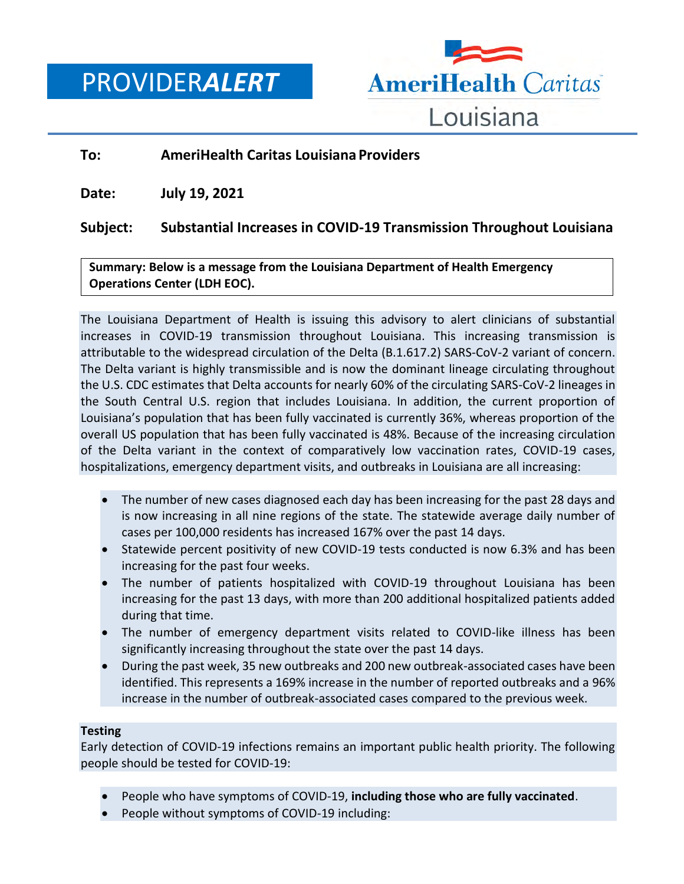PROVIDER*ALERT*



## **To: AmeriHealth Caritas Louisiana Providers**

**Date: July 19, 2021**

# **Subject: Substantial Increases in COVID-19 Transmission Throughout Louisiana**

**Summary: Below is a message from the Louisiana Department of Health Emergency Operations Center (LDH EOC).**

The Louisiana Department of Health is issuing this advisory to alert clinicians of substantial increases in COVID-19 transmission throughout Louisiana. This increasing transmission is attributable to the widespread circulation of the Delta (B.1.617.2) SARS-CoV-2 variant of concern. The Delta variant is highly transmissible and is now the dominant lineage circulating throughout the U.S. CDC estimates that Delta accounts for nearly 60% of the circulating SARS-CoV-2 lineages in the South Central U.S. region that includes Louisiana. In addition, the current proportion of Louisiana's population that has been fully vaccinated is currently 36%, whereas proportion of the overall US population that has been fully vaccinated is 48%. Because of the increasing circulation of the Delta variant in the context of comparatively low vaccination rates, COVID-19 cases, hospitalizations, emergency department visits, and outbreaks in Louisiana are all increasing:

- The number of new cases diagnosed each day has been increasing for the past 28 days and is now increasing in all nine regions of the state. The statewide average daily number of cases per 100,000 residents has increased 167% over the past 14 days.
- Statewide percent positivity of new COVID-19 tests conducted is now 6.3% and has been increasing for the past four weeks.
- The number of patients hospitalized with COVID-19 throughout Louisiana has been increasing for the past 13 days, with more than 200 additional hospitalized patients added during that time.
- The number of emergency department visits related to COVID-like illness has been significantly increasing throughout the state over the past 14 days.
- During the past week, 35 new outbreaks and 200 new outbreak-associated cases have been identified. This represents a 169% increase in the number of reported outbreaks and a 96% increase in the number of outbreak-associated cases compared to the previous week.

## **Testing**

Early detection of COVID-19 infections remains an important public health priority. The following people should be tested for COVID-19:

- People who have symptoms of COVID-19, **including those who are fully vaccinated**.
- People without symptoms of COVID-19 including: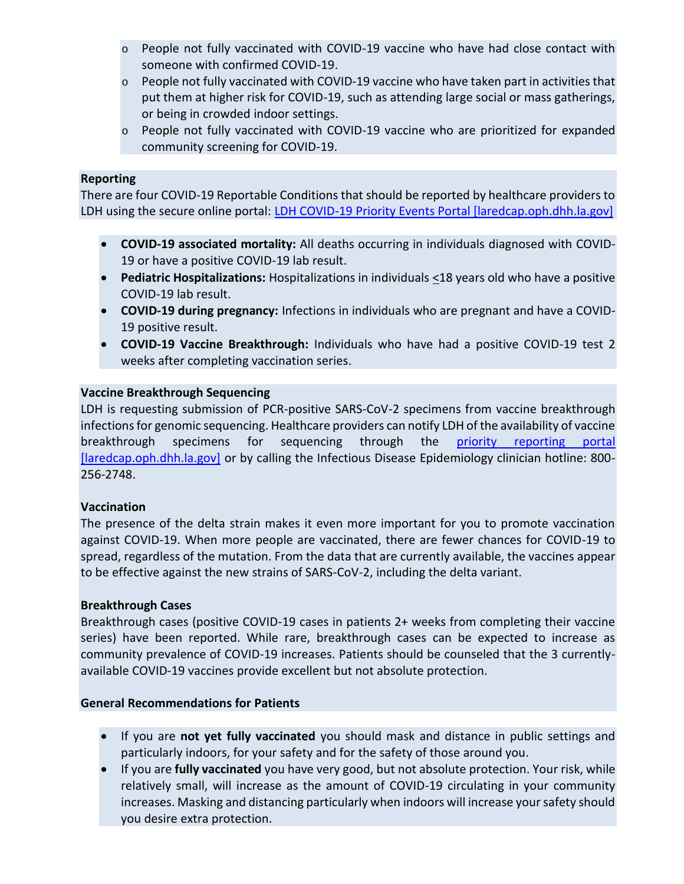- o People not fully vaccinated with COVID-19 vaccine who have had close contact with someone with confirmed COVID-19.
- $\circ$  People not fully vaccinated with COVID-19 vaccine who have taken part in activities that put them at higher risk for COVID-19, such as attending large social or mass gatherings, or being in crowded indoor settings.
- $\circ$  People not fully vaccinated with COVID-19 vaccine who are prioritized for expanded community screening for COVID-19.

### **Reporting**

There are four COVID-19 Reportable Conditions that should be reported by healthcare providers to LDH using the secure online portal: [LDH COVID-19 Priority Events Portal \[laredcap.oph.dhh.la.gov\]](https://urldefense.com/v3/__https:/laredcap.oph.dhh.la.gov/surveys/?s=NYW8TYETNF__;!!E4aHFgIl6QUyrQ!pdFW1lwPA9FbgauIFCa8HbuGgWOFY1Ew73VAbb5hWifOW9jdXyM-TzStMS4daD_CgJKNx08dcQ$)

- **COVID-19 associated mortality:** All deaths occurring in individuals diagnosed with COVID-19 or have a positive COVID-19 lab result.
- **Pediatric Hospitalizations:** Hospitalizations in individuals <18 years old who have a positive COVID-19 lab result.
- **COVID-19 during pregnancy:** Infections in individuals who are pregnant and have a COVID-19 positive result.
- **COVID-19 Vaccine Breakthrough:** Individuals who have had a positive COVID-19 test 2 weeks after completing vaccination series.

## **Vaccine Breakthrough Sequencing**

LDH is requesting submission of PCR-positive SARS-CoV-2 specimens from vaccine breakthrough infections for genomic sequencing. Healthcare providers can notify LDH of the availability of vaccine breakthrough specimens for sequencing through the priority reporting portal [\[laredcap.oph.dhh.la.gov\]](https://urldefense.com/v3/__https:/laredcap.oph.dhh.la.gov/surveys/?s=NYW8TYETNF__;!!E4aHFgIl6QUyrQ!pdFW1lwPA9FbgauIFCa8HbuGgWOFY1Ew73VAbb5hWifOW9jdXyM-TzStMS4daD_CgJKNx08dcQ$) or by calling the Infectious Disease Epidemiology clinician hotline: 800-256-2748.

## **Vaccination**

The presence of the delta strain makes it even more important for you to promote vaccination against COVID-19. When more people are vaccinated, there are fewer chances for COVID-19 to spread, regardless of the mutation. From the data that are currently available, the vaccines appear to be effective against the new strains of SARS-CoV-2, including the delta variant.

#### **Breakthrough Cases**

Breakthrough cases (positive COVID-19 cases in patients 2+ weeks from completing their vaccine series) have been reported. While rare, breakthrough cases can be expected to increase as community prevalence of COVID-19 increases. Patients should be counseled that the 3 currentlyavailable COVID-19 vaccines provide excellent but not absolute protection.

#### **General Recommendations for Patients**

- If you are **not yet fully vaccinated** you should mask and distance in public settings and particularly indoors, for your safety and for the safety of those around you.
- If you are **fully vaccinated** you have very good, but not absolute protection. Your risk, while relatively small, will increase as the amount of COVID-19 circulating in your community increases. Masking and distancing particularly when indoors will increase your safety should you desire extra protection.